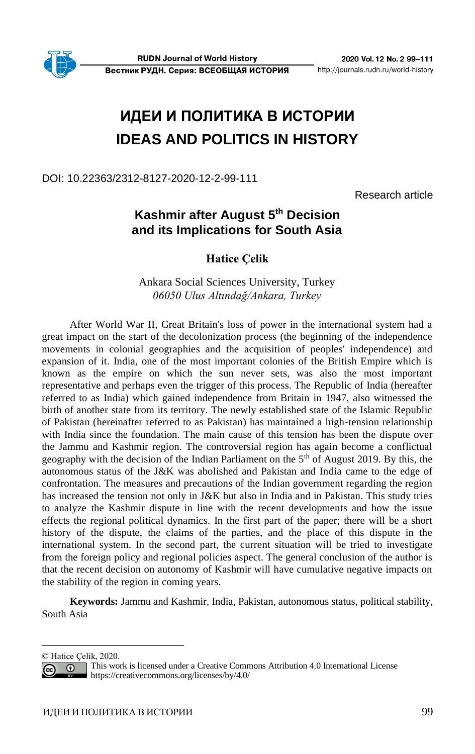# **ИДЕИ И ПОЛИТИКА В ИСТОРИИ IDEAS AND POLITICS IN HISTORY**

DOI: 10.22363/2312-8127-2020-12-2-99-111

Research article

# **1 and its Implications for South Asia Kashmir after August 5th Decision**

**Hatice Çelik**

Ankara Social Sciences University, Turkey *06050 Ulus Altındağ/Ankara, Turkey*

After World War II, Great Britain's loss of power in the international system had a great impact on the start of the decolonization process (the beginning of the independence movements in colonial geographies and the acquisition of peoples' independence) and expansion of it. India, one of the most important colonies of the British Empire which is known as the empire on which the sun never sets, was also the most important representative and perhaps even the trigger of this process. The Republic of India (hereafter referred to as India) which gained independence from Britain in 1947, also witnessed the birth of another state from its territory. The newly established state of the Islamic Republic of Pakistan (hereinafter referred to as Pakistan) has maintained a high-tension relationship with India since the foundation. The main cause of this tension has been the dispute over the Jammu and Kashmir region. The controversial region has again become a conflictual geography with the decision of the Indian Parliament on the  $5<sup>th</sup>$  of August 2019. By this, the autonomous status of the J&K was abolished and Pakistan and India came to the edge of confrontation. The measures and precautions of the Indian government regarding the region has increased the tension not only in J&K but also in India and in Pakistan. This study tries to analyze the Kashmir dispute in line with the recent developments and how the issue effects the regional political dynamics. In the first part of the paper; there will be a short history of the dispute, the claims of the parties, and the place of this dispute in the international system. In the second part, the current situation will be tried to investigate from the foreign policy and regional policies aspect. The general conclusion of the author is that the recent decision on autonomy of Kashmir will have cumulative negative impacts on the stability of the region in coming years.

**Keywords:** Jammu and Kashmir, India, Pakistan, autonomous status, political stability, South Asia

<sup>©</sup> Hatice Çelik, 2020.

This work is licensed under a Creative Commons Attribution 4.0 International License  $\odot$ <https://creativecommons.org/licenses/by/4.0/>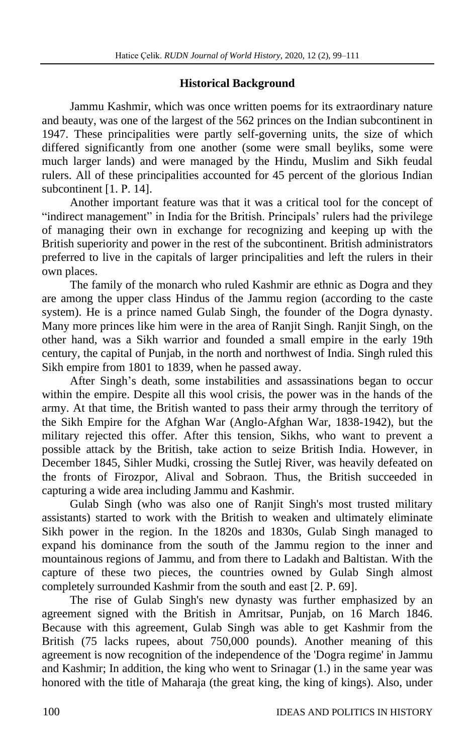### **Historical Background**

Jammu Kashmir, which was once written poems for its extraordinary nature and beauty, was one of the largest of the 562 princes on the Indian subcontinent in 1947. These principalities were partly self-governing units, the size of which differed significantly from one another (some were small beyliks, some were much larger lands) and were managed by the Hindu, Muslim and Sikh feudal rulers. All of these principalities accounted for 45 percent of the glorious Indian subcontinent [1. P. 14].

Another important feature was that it was a critical tool for the concept of "indirect management" in India for the British. Principals' rulers had the privilege of managing their own in exchange for recognizing and keeping up with the British superiority and power in the rest of the subcontinent. British administrators preferred to live in the capitals of larger principalities and left the rulers in their own places.

The family of the monarch who ruled Kashmir are ethnic as Dogra and they are among the upper class Hindus of the Jammu region (according to the caste system). He is a prince named Gulab Singh, the founder of the Dogra dynasty. Many more princes like him were in the area of Ranjit Singh. Ranjit Singh, on the other hand, was a Sikh warrior and founded a small empire in the early 19th century, the capital of Punjab, in the north and northwest of India. Singh ruled this Sikh empire from 1801 to 1839, when he passed away.

After Singh's death, some instabilities and assassinations began to occur within the empire. Despite all this wool crisis, the power was in the hands of the army. At that time, the British wanted to pass their army through the territory of the Sikh Empire for the Afghan War (Anglo-Afghan War, 1838-1942), but the military rejected this offer. After this tension, Sikhs, who want to prevent a possible attack by the British, take action to seize British India. However, in December 1845, Sihler Mudki, crossing the Sutlej River, was heavily defeated on the fronts of Firozpor, Alival and Sobraon. Thus, the British succeeded in capturing a wide area including Jammu and Kashmir.

Gulab Singh (who was also one of Ranjit Singh's most trusted military assistants) started to work with the British to weaken and ultimately eliminate Sikh power in the region. In the 1820s and 1830s, Gulab Singh managed to expand his dominance from the south of the Jammu region to the inner and mountainous regions of Jammu, and from there to Ladakh and Baltistan. With the capture of these two pieces, the countries owned by Gulab Singh almost completely surrounded Kashmir from the south and east [2. Р. 69].

The rise of Gulab Singh's new dynasty was further emphasized by an agreement signed with the British in Amritsar, Punjab, on 16 March 1846. Because with this agreement, Gulab Singh was able to get Kashmir from the British (75 lacks rupees, about 750,000 pounds). Another meaning of this agreement is now recognition of the independence of the 'Dogra regime' in Jammu and Kashmir; In addition, the king who went to Srinagar (1.) in the same year was honored with the title of Maharaja (the great king, the king of kings). Also, under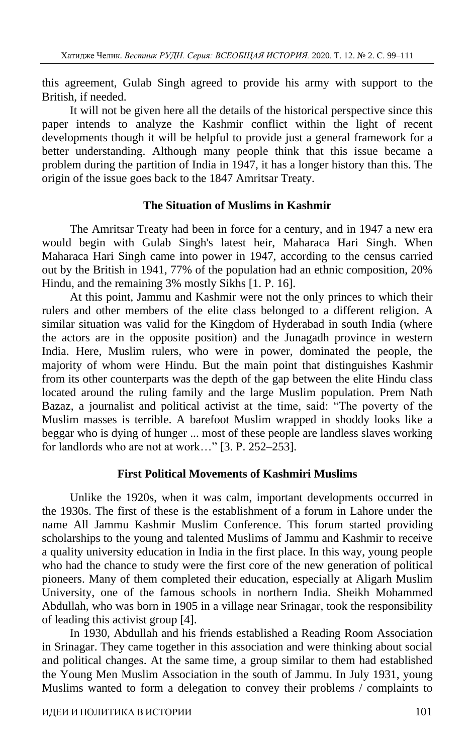this agreement, Gulab Singh agreed to provide his army with support to the British, if needed.

It will not be given here all the details of the historical perspective since this paper intends to analyze the Kashmir conflict within the light of recent developments though it will be helpful to provide just a general framework for a better understanding. Although many people think that this issue became a problem during the partition of India in 1947, it has a longer history than this. The origin of the issue goes back to the 1847 Amritsar Treaty.

# **The Situation of Muslims in Kashmir**

The Amritsar Treaty had been in force for a century, and in 1947 a new era would begin with Gulab Singh's latest heir, Maharaca Hari Singh. When Maharaca Hari Singh came into power in 1947, according to the census carried out by the British in 1941, 77% of the population had an ethnic composition, 20% Hindu, and the remaining 3% mostly Sikhs [1, P, 16].

At this point, Jammu and Kashmir were not the only princes to which their rulers and other members of the elite class belonged to a different religion. A similar situation was valid for the Kingdom of Hyderabad in south India (where the actors are in the opposite position) and the Junagadh province in western India. Here, Muslim rulers, who were in power, dominated the people, the majority of whom were Hindu. But the main point that distinguishes Kashmir from its other counterparts was the depth of the gap between the elite Hindu class located around the ruling family and the large Muslim population. Prem Nath Bazaz, a journalist and political activist at the time, said: "The poverty of the Muslim masses is terrible. A barefoot Muslim wrapped in shoddy looks like a beggar who is dying of hunger ... most of these people are landless slaves working for landlords who are not at work..." [3. P. 252–253].

# **First Political Movements of Kashmiri Muslims**

Unlike the 1920s, when it was calm, important developments occurred in the 1930s. The first of these is the establishment of a forum in Lahore under the name All Jammu Kashmir Muslim Conference. This forum started providing scholarships to the young and talented Muslims of Jammu and Kashmir to receive a quality university education in India in the first place. In this way, young people who had the chance to study were the first core of the new generation of political pioneers. Many of them completed their education, especially at Aligarh Muslim University, one of the famous schools in northern India. Sheikh Mohammed Abdullah, who was born in 1905 in a village near Srinagar, took the responsibility of leading this activist group [4].

In 1930, Abdullah and his friends established a Reading Room Association in Srinagar. They came together in this association and were thinking about social and political changes. At the same time, a group similar to them had established the Young Men Muslim Association in the south of Jammu. In July 1931, young Muslims wanted to form a delegation to convey their problems / complaints to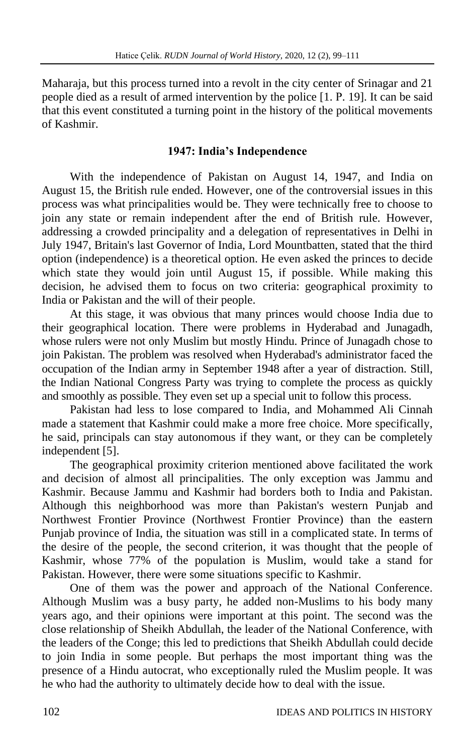Maharaja, but this process turned into a revolt in the city center of Srinagar and 21 people died as a result of armed intervention by the police [1. Р. 19]. It can be said that this event constituted a turning point in the history of the political movements of Kashmir.

# **1947: India's Independence**

With the independence of Pakistan on August 14, 1947, and India on August 15, the British rule ended. However, one of the controversial issues in this process was what principalities would be. They were technically free to choose to join any state or remain independent after the end of British rule. However, addressing a crowded principality and a delegation of representatives in Delhi in July 1947, Britain's last Governor of India, Lord Mountbatten, stated that the third option (independence) is a theoretical option. He even asked the princes to decide which state they would join until August 15, if possible. While making this decision, he advised them to focus on two criteria: geographical proximity to India or Pakistan and the will of their people.

At this stage, it was obvious that many princes would choose India due to their geographical location. There were problems in Hyderabad and Junagadh, whose rulers were not only Muslim but mostly Hindu. Prince of Junagadh chose to join Pakistan. The problem was resolved when Hyderabad's administrator faced the occupation of the Indian army in September 1948 after a year of distraction. Still, the Indian National Congress Party was trying to complete the process as quickly and smoothly as possible. They even set up a special unit to follow this process.

Pakistan had less to lose compared to India, and Mohammed Ali Cinnah made a statement that Kashmir could make a more free choice. More specifically, he said, principals can stay autonomous if they want, or they can be completely independent [5].

The geographical proximity criterion mentioned above facilitated the work and decision of almost all principalities. The only exception was Jammu and Kashmir. Because Jammu and Kashmir had borders both to India and Pakistan. Although this neighborhood was more than Pakistan's western Punjab and Northwest Frontier Province (Northwest Frontier Province) than the eastern Punjab province of India, the situation was still in a complicated state. In terms of the desire of the people, the second criterion, it was thought that the people of Kashmir, whose 77% of the population is Muslim, would take a stand for Pakistan. However, there were some situations specific to Kashmir.

One of them was the power and approach of the National Conference. Although Muslim was a busy party, he added non-Muslims to his body many years ago, and their opinions were important at this point. The second was the close relationship of Sheikh Abdullah, the leader of the National Conference, with the leaders of the Conge; this led to predictions that Sheikh Abdullah could decide to join India in some people. But perhaps the most important thing was the presence of a Hindu autocrat, who exceptionally ruled the Muslim people. It was he who had the authority to ultimately decide how to deal with the issue.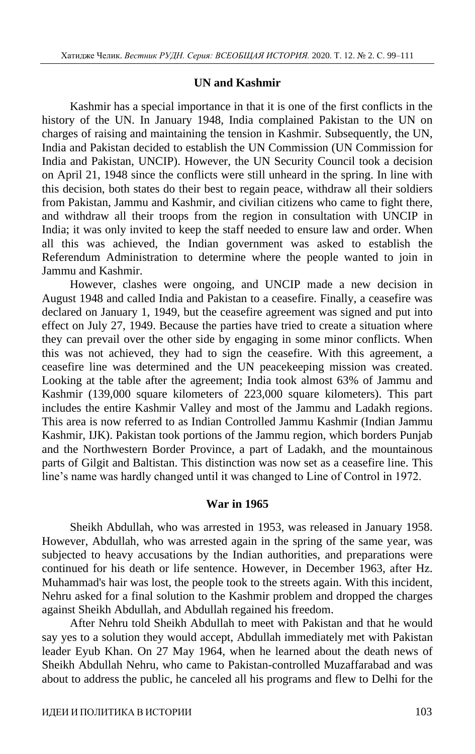#### **UN and Kashmir**

Kashmir has a special importance in that it is one of the first conflicts in the history of the UN. In January 1948, India complained Pakistan to the UN on charges of raising and maintaining the tension in Kashmir. Subsequently, the UN, India and Pakistan decided to establish the UN Commission (UN Commission for India and Pakistan, UNCIP). However, the UN Security Council took a decision on April 21, 1948 since the conflicts were still unheard in the spring. In line with this decision, both states do their best to regain peace, withdraw all their soldiers from Pakistan, Jammu and Kashmir, and civilian citizens who came to fight there, and withdraw all their troops from the region in consultation with UNCIP in India; it was only invited to keep the staff needed to ensure law and order. When all this was achieved, the Indian government was asked to establish the Referendum Administration to determine where the people wanted to join in Jammu and Kashmir.

However, clashes were ongoing, and UNCIP made a new decision in August 1948 and called India and Pakistan to a ceasefire. Finally, a ceasefire was declared on January 1, 1949, but the ceasefire agreement was signed and put into effect on July 27, 1949. Because the parties have tried to create a situation where they can prevail over the other side by engaging in some minor conflicts. When this was not achieved, they had to sign the ceasefire. With this agreement, a ceasefire line was determined and the UN peacekeeping mission was created. Looking at the table after the agreement; India took almost 63% of Jammu and Kashmir (139,000 square kilometers of 223,000 square kilometers). This part includes the entire Kashmir Valley and most of the Jammu and Ladakh regions. This area is now referred to as Indian Controlled Jammu Kashmir (Indian Jammu Kashmir, IJK). Pakistan took portions of the Jammu region, which borders Punjab and the Northwestern Border Province, a part of Ladakh, and the mountainous parts of Gilgit and Baltistan. This distinction was now set as a ceasefire line. This line's name was hardly changed until it was changed to Line of Control in 1972.

## **War in 1965**

Sheikh Abdullah, who was arrested in 1953, was released in January 1958. However, Abdullah, who was arrested again in the spring of the same year, was subjected to heavy accusations by the Indian authorities, and preparations were continued for his death or life sentence. However, in December 1963, after Hz. Muhammad's hair was lost, the people took to the streets again. With this incident, Nehru asked for a final solution to the Kashmir problem and dropped the charges against Sheikh Abdullah, and Abdullah regained his freedom.

After Nehru told Sheikh Abdullah to meet with Pakistan and that he would say yes to a solution they would accept, Abdullah immediately met with Pakistan leader Eyub Khan. On 27 May 1964, when he learned about the death news of Sheikh Abdullah Nehru, who came to Pakistan-controlled Muzaffarabad and was about to address the public, he canceled all his programs and flew to Delhi for the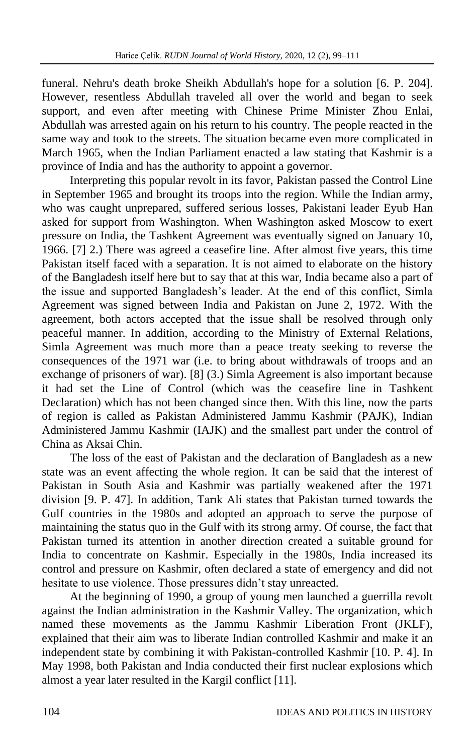funeral. Nehru's death broke Sheikh Abdullah's hope for a solution [6. Р. 204]. However, resentless Abdullah traveled all over the world and began to seek support, and even after meeting with Chinese Prime Minister Zhou Enlai, Abdullah was arrested again on his return to his country. The people reacted in the same way and took to the streets. The situation became even more complicated in March 1965, when the Indian Parliament enacted a law stating that Kashmir is a province of India and has the authority to appoint a governor.

Interpreting this popular revolt in its favor, Pakistan passed the Control Line in September 1965 and brought its troops into the region. While the Indian army, who was caught unprepared, suffered serious losses, Pakistani leader Eyub Han asked for support from Washington. When Washington asked Moscow to exert pressure on India, the Tashkent Agreement was eventually signed on January 10, 1966. [7] 2.) There was agreed a ceasefire line. After almost five years, this time Pakistan itself faced with a separation. It is not aimed to elaborate on the history of the Bangladesh itself here but to say that at this war, India became also a part of the issue and supported Bangladesh's leader. At the end of this conflict, Simla Agreement was signed between India and Pakistan on June 2, 1972. With the agreement, both actors accepted that the issue shall be resolved through only peaceful manner. In addition, according to the Ministry of External Relations, Simla Agreement was much more than a peace treaty seeking to reverse the consequences of the 1971 war (i.e. to bring about withdrawals of troops and an exchange of prisoners of war). [8] (3.) Simla Agreement is also important because it had set the Line of Control (which was the ceasefire line in Tashkent Declaration) which has not been changed since then. With this line, now the parts of region is called as Pakistan Administered Jammu Kashmir (PAJK), Indian Administered Jammu Kashmir (IAJK) and the smallest part under the control of China as Aksai Chin.

The loss of the east of Pakistan and the declaration of Bangladesh as a new state was an event affecting the whole region. It can be said that the interest of Pakistan in South Asia and Kashmir was partially weakened after the 1971 division [9. Р. 47]. In addition, Tarık Ali states that Pakistan turned towards the Gulf countries in the 1980s and adopted an approach to serve the purpose of maintaining the status quo in the Gulf with its strong army. Of course, the fact that Pakistan turned its attention in another direction created a suitable ground for India to concentrate on Kashmir. Especially in the 1980s, India increased its control and pressure on Kashmir, often declared a state of emergency and did not hesitate to use violence. Those pressures didn't stay unreacted.

At the beginning of 1990, a group of young men launched a guerrilla revolt against the Indian administration in the Kashmir Valley. The organization, which named these movements as the Jammu Kashmir Liberation Front (JKLF), explained that their aim was to liberate Indian controlled Kashmir and make it an independent state by combining it with Pakistan-controlled Kashmir [10. Р. 4]. In May 1998, both Pakistan and India conducted their first nuclear explosions which almost a year later resulted in the Kargil conflict [11].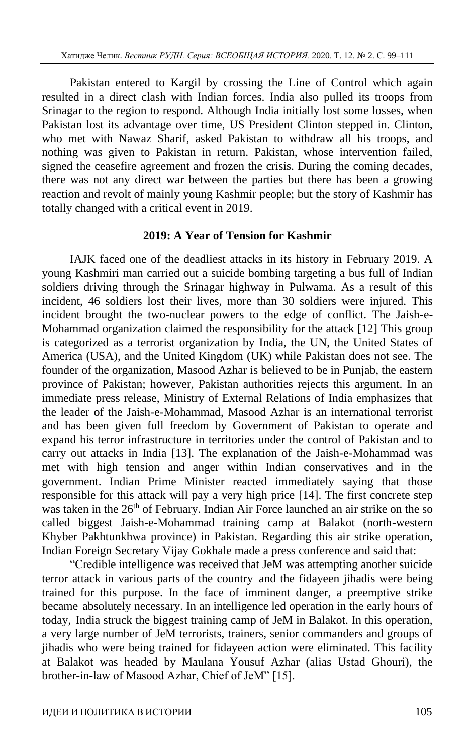Pakistan entered to Kargil by crossing the Line of Control which again resulted in a direct clash with Indian forces. India also pulled its troops from Srinagar to the region to respond. Although India initially lost some losses, when Pakistan lost its advantage over time, US President Clinton stepped in. Clinton, who met with Nawaz Sharif, asked Pakistan to withdraw all his troops, and nothing was given to Pakistan in return. Pakistan, whose intervention failed, signed the ceasefire agreement and frozen the crisis. During the coming decades, there was not any direct war between the parties but there has been a growing reaction and revolt of mainly young Kashmir people; but the story of Kashmir has totally changed with a critical event in 2019.

#### **2019: A Year of Tension for Kashmir**

IAJK faced one of the deadliest attacks in its history in February 2019. A young Kashmiri man carried out a suicide bombing targeting a bus full of Indian soldiers driving through the Srinagar highway in Pulwama. As a result of this incident, 46 soldiers lost their lives, more than 30 soldiers were injured. This incident brought the two-nuclear powers to the edge of conflict. The Jaish-e-Mohammad organization claimed the responsibility for the attack [12] This group is categorized as a terrorist organization by India, the UN, the United States of America (USA), and the United Kingdom (UK) while Pakistan does not see. The founder of the organization, Masood Azhar is believed to be in Punjab, the eastern province of Pakistan; however, Pakistan authorities rejects this argument. In an immediate press release, Ministry of External Relations of India emphasizes that the leader of the Jaish-e-Mohammad, Masood Azhar is an international terrorist and has been given full freedom by Government of Pakistan to operate and expand his terror infrastructure in territories under the control of Pakistan and to carry out attacks in India [13]. The explanation of the Jaish-e-Mohammad was met with high tension and anger within Indian conservatives and in the government. Indian Prime Minister reacted immediately saying that those responsible for this attack will pay a very high price [14]. The first concrete step was taken in the 26<sup>th</sup> of February. Indian Air Force launched an air strike on the so called biggest Jaish-e-Mohammad training camp at Balakot (north-western Khyber Pakhtunkhwa province) in Pakistan. Regarding this air strike operation, Indian Foreign Secretary Vijay Gokhale made a press conference and said that:

"Credible intelligence was received that JeM was attempting another suicide terror attack in various parts of the country and the fidayeen jihadis were being trained for this purpose. In the face of imminent danger, a preemptive strike became absolutely necessary. In an intelligence led operation in the early hours of today, India struck the biggest training camp of JeM in Balakot. In this operation, a very large number of JeM terrorists, trainers, senior commanders and groups of jihadis who were being trained for fidayeen action were eliminated. This facility at Balakot was headed by Maulana Yousuf Azhar (alias Ustad Ghouri), the brother-in-law of Masood Azhar, Chief of JeM" [15].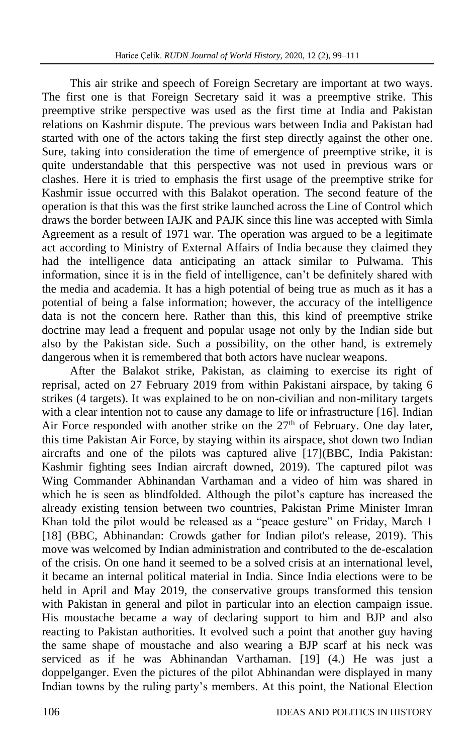This air strike and speech of Foreign Secretary are important at two ways. The first one is that Foreign Secretary said it was a preemptive strike. This preemptive strike perspective was used as the first time at India and Pakistan relations on Kashmir dispute. The previous wars between India and Pakistan had started with one of the actors taking the first step directly against the other one. Sure, taking into consideration the time of emergence of preemptive strike, it is quite understandable that this perspective was not used in previous wars or clashes. Here it is tried to emphasis the first usage of the preemptive strike for Kashmir issue occurred with this Balakot operation. The second feature of the operation is that this was the first strike launched across the Line of Control which draws the border between IAJK and PAJK since this line was accepted with Simla Agreement as a result of 1971 war. The operation was argued to be a legitimate act according to Ministry of External Affairs of India because they claimed they had the intelligence data anticipating an attack similar to Pulwama. This information, since it is in the field of intelligence, can't be definitely shared with the media and academia. It has a high potential of being true as much as it has a potential of being a false information; however, the accuracy of the intelligence data is not the concern here. Rather than this, this kind of preemptive strike doctrine may lead a frequent and popular usage not only by the Indian side but also by the Pakistan side. Such a possibility, on the other hand, is extremely dangerous when it is remembered that both actors have nuclear weapons.

After the Balakot strike, Pakistan, as claiming to exercise its right of reprisal, acted on 27 February 2019 from within Pakistani airspace, by taking 6 strikes (4 targets). It was explained to be on non-civilian and non-military targets with a clear intention not to cause any damage to life or infrastructure [16]. Indian Air Force responded with another strike on the  $27<sup>th</sup>$  of February. One day later, this time Pakistan Air Force, by staying within its airspace, shot down two Indian aircrafts and one of the pilots was captured alive [17](BBC, India Pakistan: Kashmir fighting sees Indian aircraft downed, 2019). The captured pilot was Wing Commander Abhinandan Varthaman and a video of him was shared in which he is seen as blindfolded. Although the pilot's capture has increased the already existing tension between two countries, Pakistan Prime Minister Imran Khan told the pilot would be released as a "peace gesture" on Friday, March 1 [18] (BBC, Abhinandan: Crowds gather for Indian pilot's release, 2019). This move was welcomed by Indian administration and contributed to the de-escalation of the crisis. On one hand it seemed to be a solved crisis at an international level, it became an internal political material in India. Since India elections were to be held in April and May 2019, the conservative groups transformed this tension with Pakistan in general and pilot in particular into an election campaign issue. His moustache became a way of declaring support to him and BJP and also reacting to Pakistan authorities. It evolved such a point that another guy having the same shape of moustache and also wearing a BJP scarf at his neck was serviced as if he was Abhinandan Varthaman. [19] (4.) He was just a doppelganger. Even the pictures of the pilot Abhinandan were displayed in many Indian towns by the ruling party's members. At this point, the National Election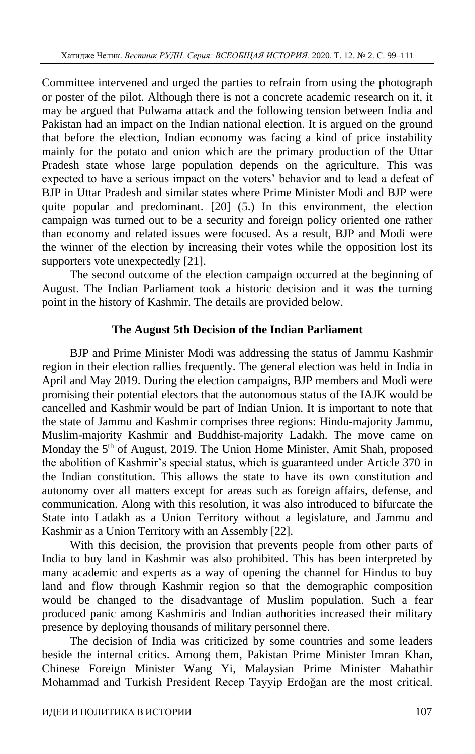Committee intervened and urged the parties to refrain from using the photograph or poster of the pilot. Although there is not a concrete academic research on it, it may be argued that Pulwama attack and the following tension between India and Pakistan had an impact on the Indian national election. It is argued on the ground that before the election, Indian economy was facing a kind of price instability mainly for the potato and onion which are the primary production of the Uttar Pradesh state whose large population depends on the agriculture. This was expected to have a serious impact on the voters' behavior and to lead a defeat of BJP in Uttar Pradesh and similar states where Prime Minister Modi and BJP were quite popular and predominant. [20] (5.) In this environment, the election campaign was turned out to be a security and foreign policy oriented one rather than economy and related issues were focused. As a result, BJP and Modi were the winner of the election by increasing their votes while the opposition lost its supporters vote unexpectedly [21].

The second outcome of the election campaign occurred at the beginning of August. The Indian Parliament took a historic decision and it was the turning point in the history of Kashmir. The details are provided below.

## **The August 5th Decision of the Indian Parliament**

BJP and Prime Minister Modi was addressing the status of Jammu Kashmir region in their election rallies frequently. The general election was held in India in April and May 2019. During the election campaigns, BJP members and Modi were promising their potential electors that the autonomous status of the IAJK would be cancelled and Kashmir would be part of Indian Union. It is important to note that the state of Jammu and Kashmir comprises three regions: Hindu-majority Jammu, Muslim-majority Kashmir and Buddhist-majority Ladakh. The move came on Monday the 5<sup>th</sup> of August, 2019. The Union Home Minister, Amit Shah, proposed the abolition of Kashmir's special status, which is guaranteed under Article 370 in the Indian constitution. This allows the state to have its own constitution and autonomy over all matters except for areas such as foreign affairs, defense, and communication. Along with this resolution, it was also introduced to bifurcate the State into Ladakh as a Union Territory without a legislature, and Jammu and Kashmir as a Union Territory with an Assembly [22].

With this decision, the provision that prevents people from other parts of India to buy land in Kashmir was also prohibited. This has been interpreted by many academic and experts as a way of opening the channel for Hindus to buy land and flow through Kashmir region so that the demographic composition would be changed to the disadvantage of Muslim population. Such a fear produced panic among Kashmiris and Indian authorities increased their military presence by deploying thousands of military personnel there.

The decision of India was criticized by some countries and some leaders beside the internal critics. Among them, Pakistan Prime Minister Imran Khan, Chinese Foreign Minister Wang Yi, Malaysian Prime Minister Mahathir Mohammad and Turkish President Recep Tayyip Erdoğan are the most critical.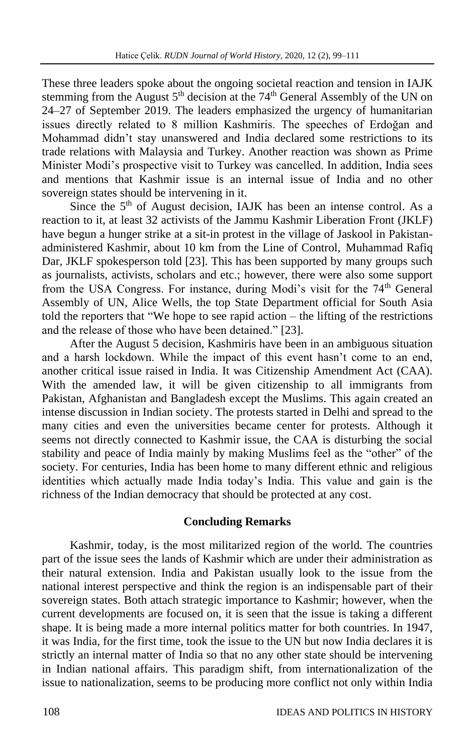These three leaders spoke about the ongoing societal reaction and tension in IAJK stemming from the August  $5<sup>th</sup>$  decision at the 74<sup>th</sup> General Assembly of the UN on 24–27 of September 2019. The leaders emphasized the urgency of humanitarian issues directly related to 8 million Kashmiris. The speeches of Erdoğan and Mohammad didn't stay unanswered and India declared some restrictions to its trade relations with Malaysia and Turkey. Another reaction was shown as Prime Minister Modi's prospective visit to Turkey was cancelled. In addition, India sees and mentions that Kashmir issue is an internal issue of India and no other sovereign states should be intervening in it.

Since the 5<sup>th</sup> of August decision, IAJK has been an intense control. As a reaction to it, at least 32 activists of the Jammu Kashmir Liberation Front (JKLF) have begun a hunger strike at a sit-in protest in the village of Jaskool in Pakistanadministered Kashmir, about 10 km from the Line of Control, Muhammad Rafiq Dar, JKLF spokesperson told [23]. This has been supported by many groups such as journalists, activists, scholars and etc.; however, there were also some support from the USA Congress. For instance, during Modi's visit for the 74<sup>th</sup> General Assembly of UN, Alice Wells, the top State Department official for South Asia told the reporters that "We hope to see rapid action – the lifting of the restrictions and the release of those who have been detained." [23].

After the August 5 decision, Kashmiris have been in an ambiguous situation and a harsh lockdown. While the impact of this event hasn't come to an end, another critical issue raised in India. It was Citizenship Amendment Act (CAA). With the amended law, it will be given citizenship to all immigrants from Pakistan, Afghanistan and Bangladesh except the Muslims. This again created an intense discussion in Indian society. The protests started in Delhi and spread to the many cities and even the universities became center for protests. Although it seems not directly connected to Kashmir issue, the CAA is disturbing the social stability and peace of India mainly by making Muslims feel as the "other" of the society. For centuries, India has been home to many different ethnic and religious identities which actually made India today's India. This value and gain is the richness of the Indian democracy that should be protected at any cost.

# **Concluding Remarks**

Kashmir, today, is the most militarized region of the world. The countries part of the issue sees the lands of Kashmir which are under their administration as their natural extension. India and Pakistan usually look to the issue from the national interest perspective and think the region is an indispensable part of their sovereign states. Both attach strategic importance to Kashmir; however, when the current developments are focused on, it is seen that the issue is taking a different shape. It is being made a more internal politics matter for both countries. In 1947, it was India, for the first time, took the issue to the UN but now India declares it is strictly an internal matter of India so that no any other state should be intervening in Indian national affairs. This paradigm shift, from internationalization of the issue to nationalization, seems to be producing more conflict not only within India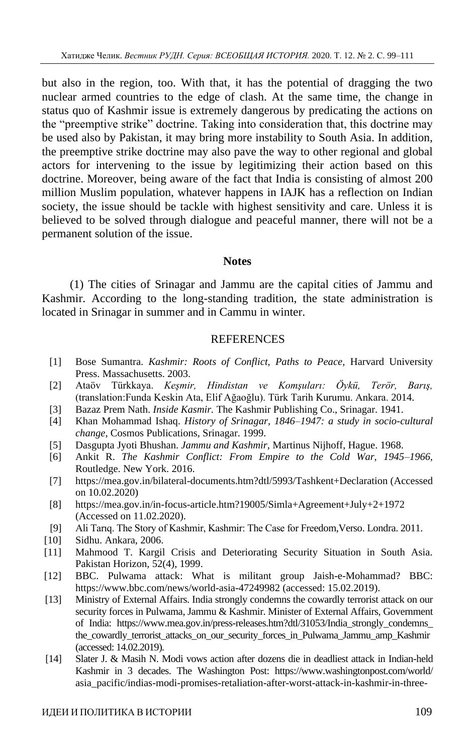but also in the region, too. With that, it has the potential of dragging the two nuclear armed countries to the edge of clash. At the same time, the change in status quo of Kashmir issue is extremely dangerous by predicating the actions on the "preemptive strike" doctrine. Taking into consideration that, this doctrine may be used also by Pakistan, it may bring more instability to South Asia. In addition, the preemptive strike doctrine may also pave the way to other regional and global actors for intervening to the issue by legitimizing their action based on this doctrine. Moreover, being aware of the fact that India is consisting of almost 200 million Muslim population, whatever happens in IAJK has a reflection on Indian society, the issue should be tackle with highest sensitivity and care. Unless it is believed to be solved through dialogue and peaceful manner, there will not be a permanent solution of the issue.

#### **Notes**

(1) The cities of Srinagar and Jammu are the capital cities of Jammu and Kashmir. According to the long-standing tradition, the state administration is located in Srinagar in summer and in Cammu in winter.

#### **REFERENCES**

- [1] Bose Sumantra. *Kashmir: Roots of Conflict, Paths to Peace,* Harvard University Press. Massachusetts. 2003.
- [2] Ataöv Türkkaya. *Keşmir, Hindistan ve Komşuları: Öykü, Terör, Barış,* (translation:Funda Keskin Ata, Elif Ağaoğlu). Türk Tarih Kurumu. Ankara. 2014.
- [3] Bazaz Prem Nath. *Inside Kasmir.* The Kashmir Publishing Co., Srinagar. 1941.
- [4] Khan Mohammad Ishaq. *History of Srinagar, 1846–1947: a study in socio-cultural change*, Cosmos Publications, Srinagar. 1999.
- [5] Dasgupta Jyoti Bhushan. *Jammu and Kashmir,* Martinus Nijhoff, Hague. 1968.
- [6] Ankit R. *The Kashmir Conflict: From Empire to the Cold War, 1945–1966,* Routledge. New York. 2016.
- [7] https://mea.gov.in/bilateral-documents.htm?dtl/5993/Tashkent+Declaration (Accessed on 10.02.2020)
- [8] https://mea.gov.in/in-focus-article.htm?19005/Simla+Agreement+July+2+1972 (Accessed on 11.02.2020).
- [9] Ali Tarıq. The Story of Kashmir, Kashmir: The Case for Freedom,Verso. Londra. 2011.
- [10] Sidhu. Ankara, 2006.
- [11] Mahmood T. Kargil Crisis and Deteriorating Security Situation in South Asia. Pakistan Horizon, 52(4), 1999.
- [12] BBC. Pulwama attack: What is militant group Jaish-e-Mohammad? BBC: https://www.bbc.com/news/world-asia-47249982 (accessed: 15.02.2019).
- [13] Ministry of External Affairs. India strongly condemns the cowardly terrorist attack on our security forces in Pulwama, Jammu & Kashmir. Minister of External Affairs, Government of India: https://www.mea.gov.in/press-releases.htm?dtl/31053/India\_strongly\_condemns\_ the cowardly terrorist attacks on our security forces in Pulwama Jammu amp Kashmir (accessed: 14.02.2019).
- [14] Slater J. & Masih N. Modi vows action after dozens die in deadliest attack in Indian-held Kashmir in 3 decades. The Washington Post: https://www.washingtonpost.com/world/ asia\_pacific/indias-modi-promises-retaliation-after-worst-attack-in-kashmir-in-three-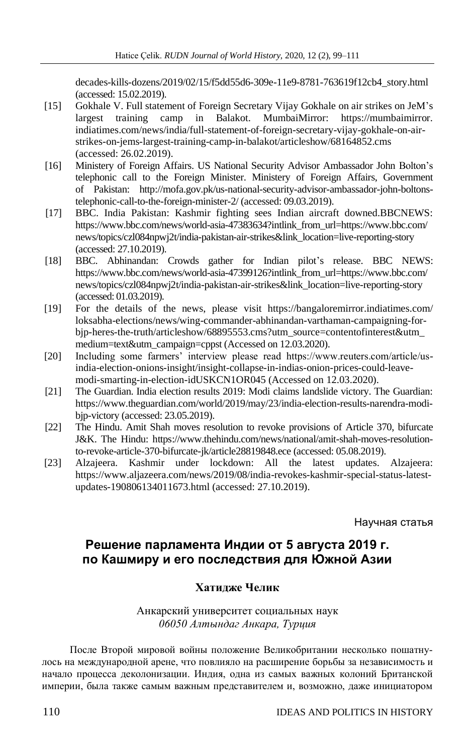decades-kills-dozens/2019/02/15/f5dd55d6-309e-11e9-8781-763619f12cb4\_story.html (accessed: 15.02.2019).

- [15] Gokhale V. Full statement of Foreign Secretary Vijay Gokhale on air strikes on JeM's largest training camp in Balakot. MumbaiMirror: https://mumbaimirror. indiatimes.com/news/india/full-statement-of-foreign-secretary-vijay-gokhale-on-airstrikes-on-jems-largest-training-camp-in-balakot/articleshow/68164852.cms (accessed: 26.02.2019).
- [16] Ministery of Foreign Affairs. US National Security Advisor Ambassador John Bolton's telephonic call to the Foreign Minister. Ministery of Foreign Affairs, Government of Pakistan: http://mofa.gov.pk/us-national-security-advisor-ambassador-john-boltonstelephonic-call-to-the-foreign-minister-2/ (accessed: 09.03.2019).
- [17] BBC. India Pakistan: Kashmir fighting sees Indian aircraft downed.BBCNEWS: https://www.bbc.com/news/world-asia-47383634?intlink\_from\_url=https://www.bbc.com/ news/topics/czl084npwj2t/india-pakistan-air-strikes&link\_location=live-reporting-story (accessed: 27.10.2019).
- [18] BBC. Abhinandan: Crowds gather for Indian pilot's release. BBC NEWS: https://www.bbc.com/news/world-asia-47399126?intlink\_from\_url=https://www.bbc.com/ news/topics/czl084npwj2t/india-pakistan-air-strikes&link\_location=live-reporting-story (accessed: 01.03.2019).
- [19] For the details of the news, please visit https://bangaloremirror.indiatimes.com/ loksabha-elections/news/wing-commander-abhinandan-varthaman-campaigning-forbjp-heres-the-truth/articleshow/68895553.cms?utm\_source=contentofinterest&utm\_ medium=text&utm\_campaign=cppst (Accessed on 12.03.2020).
- [20] Including some farmers' interview please read https://www.reuters.com/article/usindia-election-onions-insight/insight-collapse-in-indias-onion-prices-could-leavemodi-smarting-in-election-idUSKCN1OR045 (Accessed on 12.03.2020).
- [21] The Guardian. India election results 2019: Modi claims landslide victory. The Guardian: https://www.theguardian.com/world/2019/may/23/india-election-results-narendra-modibjp-victory (accessed: 23.05.2019).
- [22] The Hindu. Amit Shah moves resolution to revoke provisions of Article 370, bifurcate J&K. The Hindu: https://www.thehindu.com/news/national/amit-shah-moves-resolutionto-revoke-article-370-bifurcate-jk/article28819848.ece (accessed: 05.08.2019).
- [23] Alzajeera. Kashmir under lockdown: All the latest updates. Alzajeera: https://www.aljazeera.com/news/2019/08/india-revokes-kashmir-special-status-latestupdates-190806134011673.html (accessed: 27.10.2019).

Научная статья

# **Решение парламента Индии от 5 августа 2019 г. по Кашмиру и его последствия для Южной Азии**

# **Хатидже Челик**

Анкарский университет социальных наук *06050 Алтындаг Анкара, Турция*

После Второй мировой войны положение Великобритании несколько пошатнулось на международной арене, что повлияло на расширение борьбы за независимость и начало процесса деколонизации. Индия, одна из самых важных колоний Британской империи, была также самым важным представителем и, возможно, даже инициатором